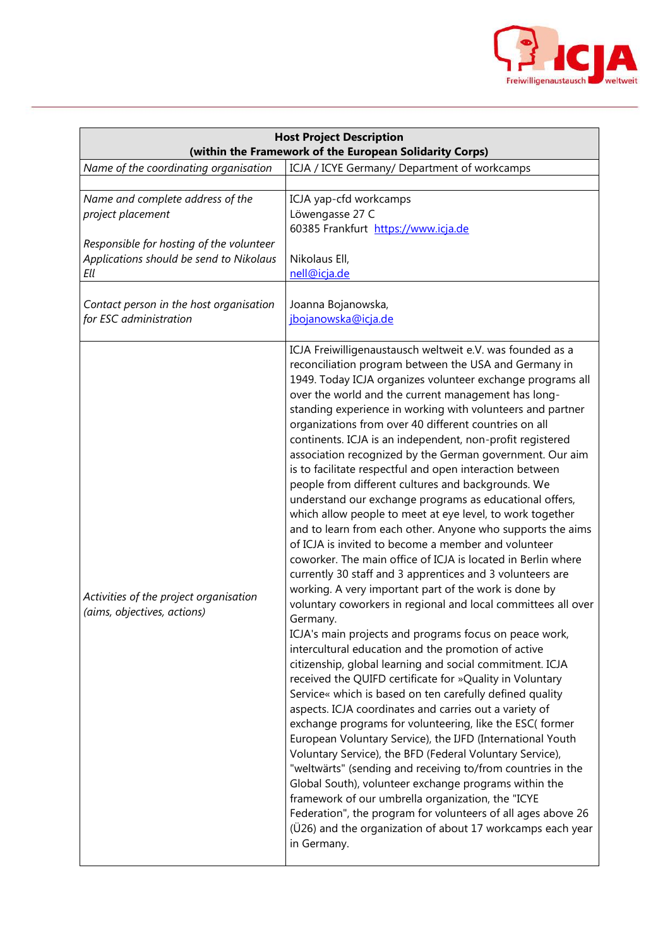

| <b>Host Project Description</b><br>(within the Framework of the European Solidarity Corps)                                                          |                                                                                                                                                                                                                                                                                                                                                                                                                                                                                                                                                                                                                                                                                                                                                                                                                                                                                                                                                                                                                                                                                                                                                                                                                                                                                                                                                                                                                                                                                                                                                                                                                                                                                                                                                                                                                                                                                                                                                                                                         |  |
|-----------------------------------------------------------------------------------------------------------------------------------------------------|---------------------------------------------------------------------------------------------------------------------------------------------------------------------------------------------------------------------------------------------------------------------------------------------------------------------------------------------------------------------------------------------------------------------------------------------------------------------------------------------------------------------------------------------------------------------------------------------------------------------------------------------------------------------------------------------------------------------------------------------------------------------------------------------------------------------------------------------------------------------------------------------------------------------------------------------------------------------------------------------------------------------------------------------------------------------------------------------------------------------------------------------------------------------------------------------------------------------------------------------------------------------------------------------------------------------------------------------------------------------------------------------------------------------------------------------------------------------------------------------------------------------------------------------------------------------------------------------------------------------------------------------------------------------------------------------------------------------------------------------------------------------------------------------------------------------------------------------------------------------------------------------------------------------------------------------------------------------------------------------------------|--|
| Name of the coordinating organisation                                                                                                               | ICJA / ICYE Germany/ Department of workcamps                                                                                                                                                                                                                                                                                                                                                                                                                                                                                                                                                                                                                                                                                                                                                                                                                                                                                                                                                                                                                                                                                                                                                                                                                                                                                                                                                                                                                                                                                                                                                                                                                                                                                                                                                                                                                                                                                                                                                            |  |
| Name and complete address of the<br>project placement<br>Responsible for hosting of the volunteer<br>Applications should be send to Nikolaus<br>Ell | ICJA yap-cfd workcamps<br>Löwengasse 27 C<br>60385 Frankfurt https://www.icja.de<br>Nikolaus Ell,<br>nell@icja.de                                                                                                                                                                                                                                                                                                                                                                                                                                                                                                                                                                                                                                                                                                                                                                                                                                                                                                                                                                                                                                                                                                                                                                                                                                                                                                                                                                                                                                                                                                                                                                                                                                                                                                                                                                                                                                                                                       |  |
| Contact person in the host organisation<br>for ESC administration                                                                                   | Joanna Bojanowska,<br>jbojanowska@icja.de                                                                                                                                                                                                                                                                                                                                                                                                                                                                                                                                                                                                                                                                                                                                                                                                                                                                                                                                                                                                                                                                                                                                                                                                                                                                                                                                                                                                                                                                                                                                                                                                                                                                                                                                                                                                                                                                                                                                                               |  |
| Activities of the project organisation<br>(aims, objectives, actions)                                                                               | ICJA Freiwilligenaustausch weltweit e.V. was founded as a<br>reconciliation program between the USA and Germany in<br>1949. Today ICJA organizes volunteer exchange programs all<br>over the world and the current management has long-<br>standing experience in working with volunteers and partner<br>organizations from over 40 different countries on all<br>continents. ICJA is an independent, non-profit registered<br>association recognized by the German government. Our aim<br>is to facilitate respectful and open interaction between<br>people from different cultures and backgrounds. We<br>understand our exchange programs as educational offers,<br>which allow people to meet at eye level, to work together<br>and to learn from each other. Anyone who supports the aims<br>of ICJA is invited to become a member and volunteer<br>coworker. The main office of ICJA is located in Berlin where<br>currently 30 staff and 3 apprentices and 3 volunteers are<br>working. A very important part of the work is done by<br>voluntary coworkers in regional and local committees all over<br>Germany.<br>ICJA's main projects and programs focus on peace work,<br>intercultural education and the promotion of active<br>citizenship, global learning and social commitment. ICJA<br>received the QUIFD certificate for »Quality in Voluntary<br>Service« which is based on ten carefully defined quality<br>aspects. ICJA coordinates and carries out a variety of<br>exchange programs for volunteering, like the ESC(former<br>European Voluntary Service), the IJFD (International Youth<br>Voluntary Service), the BFD (Federal Voluntary Service),<br>"weltwärts" (sending and receiving to/from countries in the<br>Global South), volunteer exchange programs within the<br>framework of our umbrella organization, the "ICYE<br>Federation", the program for volunteers of all ages above 26<br>(U26) and the organization of about 17 workcamps each year<br>in Germany. |  |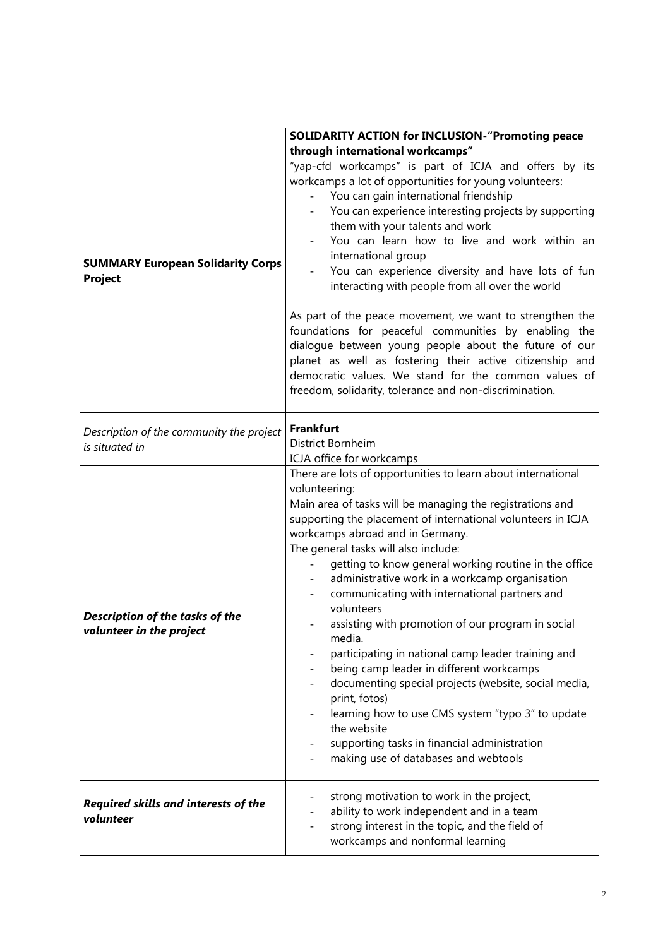|                                                             | <b>SOLIDARITY ACTION for INCLUSION-"Promoting peace</b>      |
|-------------------------------------------------------------|--------------------------------------------------------------|
|                                                             | through international workcamps"                             |
|                                                             | "yap-cfd workcamps" is part of ICJA and offers by its        |
|                                                             | workcamps a lot of opportunities for young volunteers:       |
|                                                             | You can gain international friendship                        |
|                                                             | You can experience interesting projects by supporting        |
|                                                             | them with your talents and work                              |
|                                                             | You can learn how to live and work within an                 |
| <b>SUMMARY European Solidarity Corps</b><br>Project         | international group                                          |
|                                                             | You can experience diversity and have lots of fun            |
|                                                             | interacting with people from all over the world              |
|                                                             | As part of the peace movement, we want to strengthen the     |
|                                                             | foundations for peaceful communities by enabling the         |
|                                                             | dialogue between young people about the future of our        |
|                                                             | planet as well as fostering their active citizenship and     |
|                                                             | democratic values. We stand for the common values of         |
|                                                             | freedom, solidarity, tolerance and non-discrimination.       |
| Description of the community the project                    | <b>Frankfurt</b>                                             |
| is situated in                                              | District Bornheim                                            |
|                                                             | ICJA office for workcamps                                    |
|                                                             | There are lots of opportunities to learn about international |
| Description of the tasks of the<br>volunteer in the project | volunteering:                                                |
|                                                             | Main area of tasks will be managing the registrations and    |
|                                                             | supporting the placement of international volunteers in ICJA |
|                                                             | workcamps abroad and in Germany.                             |
|                                                             | The general tasks will also include:                         |
|                                                             | getting to know general working routine in the office        |
|                                                             | administrative work in a workcamp organisation               |
|                                                             | communicating with international partners and                |
|                                                             | volunteers                                                   |
|                                                             | assisting with promotion of our program in social<br>media.  |
|                                                             | participating in national camp leader training and           |
|                                                             | being camp leader in different workcamps                     |
|                                                             | documenting special projects (website, social media,         |
|                                                             | print, fotos)                                                |
|                                                             | learning how to use CMS system "typo 3" to update            |
|                                                             | the website                                                  |
|                                                             | supporting tasks in financial administration                 |
|                                                             | making use of databases and webtools                         |
| Required skills and interests of the<br>volunteer           | strong motivation to work in the project,                    |
|                                                             | ability to work independent and in a team                    |
|                                                             | strong interest in the topic, and the field of               |
|                                                             | workcamps and nonformal learning                             |